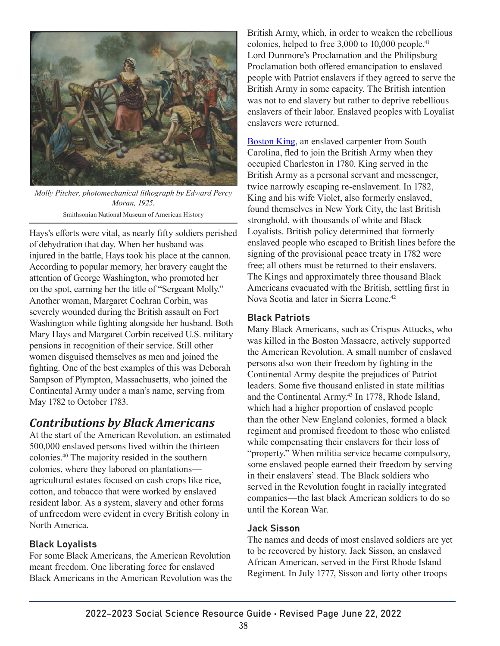

*Molly Pitcher, photomechanical lithograph by Edward Percy Moran, 1925.*

Smithsonian National Museum of American History

Hays's efforts were vital, as nearly fifty soldiers perished of dehydration that day. When her husband was injured in the battle, Hays took his place at the cannon. According to popular memory, her bravery caught the attention of George Washington, who promoted her on the spot, earning her the title of "Sergeant Molly." Another woman, Margaret Cochran Corbin, was severely wounded during the British assault on Fort Washington while fighting alongside her husband. Both Mary Hays and Margaret Corbin received U.S. military pensions in recognition of their service. Still other women disguised themselves as men and joined the fighting. One of the best examples of this was Deborah Sampson of Plympton, Massachusetts, who joined the Continental Army under a man's name, serving from May 1782 to October 1783.

## *Contributions by Black Americans*

At the start of the American Revolution, an estimated 500,000 enslaved persons lived within the thirteen colonies.40 The majority resided in the southern colonies, where they labored on plantations agricultural estates focused on cash crops like rice, cotton, and tobacco that were worked by enslaved resident labor. As a system, slavery and other forms of unfreedom were evident in every British colony in North America.

### Black Loyalists

For some Black Americans, the American Revolution meant freedom. One liberating force for enslaved Black Americans in the American Revolution was the

British Army, which, in order to weaken the rebellious colonies, helped to free 3,000 to 10,000 people.<sup>41</sup> Lord Dunmore's Proclamation and the Philipsburg Proclamation both offered emancipation to enslaved people with Patriot enslavers if they agreed to serve the British Army in some capacity. The British intention was not to end slavery but rather to deprive rebellious enslavers of their labor. Enslaved peoples with Loyalist enslavers were returned.

[Boston King,](https://blackloyalist.com/cdc/documents/diaries/king-memoirs.htm) an enslaved carpenter from South Carolina, fled to join the British Army when they occupied Charleston in 1780. King served in the British Army as a personal servant and messenger, twice narrowly escaping re-enslavement. In 1782, King and his wife Violet, also formerly enslaved, found themselves in New York City, the last British stronghold, with thousands of white and Black Loyalists. British policy determined that formerly enslaved people who escaped to British lines before the signing of the provisional peace treaty in 1782 were free; all others must be returned to their enslavers. The Kings and approximately three thousand Black Americans evacuated with the British, settling first in Nova Scotia and later in Sierra Leone.<sup>42</sup>

### Black Patriots

Many Black Americans, such as Crispus Attucks, who was killed in the Boston Massacre, actively supported the American Revolution. A small number of enslaved persons also won their freedom by fighting in the Continental Army despite the prejudices of Patriot leaders. Some five thousand enlisted in state militias and the Continental Army.<sup>43</sup> In 1778, Rhode Island, which had a higher proportion of enslaved people than the other New England colonies, formed a black regiment and promised freedom to those who enlisted while compensating their enslavers for their loss of "property." When militia service became compulsory, some enslaved people earned their freedom by serving in their enslavers' stead. The Black soldiers who served in the Revolution fought in racially integrated companies—the last black American soldiers to do so until the Korean War.

#### Jack Sisson

The names and deeds of most enslaved soldiers are yet to be recovered by history. Jack Sisson, an enslaved African American, served in the First Rhode Island Regiment. In July 1777, Sisson and forty other troops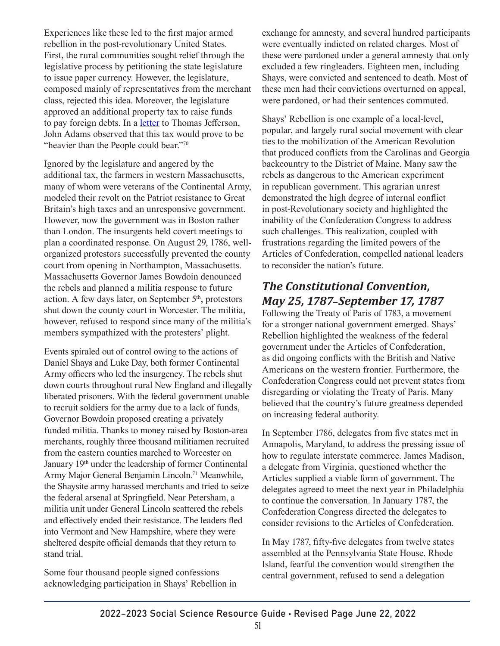Experiences like these led to the first major armed rebellion in the post-revolutionary United States. First, the rural communities sought relief through the legislative process by petitioning the state legislature to issue paper currency. However, the legislature, composed mainly of representatives from the merchant class, rejected this idea. Moreover, the legislature approved an additional property tax to raise funds to pay foreign debts. In a [letter](https://founders.archives.gov/documents/Adams/99-01-02-0812) to Thomas Jefferson, John Adams observed that this tax would prove to be "heavier than the People could bear."70

Ignored by the legislature and angered by the additional tax, the farmers in western Massachusetts, many of whom were veterans of the Continental Army, modeled their revolt on the Patriot resistance to Great Britain's high taxes and an unresponsive government. However, now the government was in Boston rather than London. The insurgents held covert meetings to plan a coordinated response. On August 29, 1786, wellorganized protestors successfully prevented the county court from opening in Northampton, Massachusetts. Massachusetts Governor James Bowdoin denounced the rebels and planned a militia response to future action. A few days later, on September 5<sup>th</sup>, protestors shut down the county court in Worcester. The militia, however, refused to respond since many of the militia's members sympathized with the protesters' plight.

Events spiraled out of control owing to the actions of Daniel Shays and Luke Day, both former Continental Army officers who led the insurgency. The rebels shut down courts throughout rural New England and illegally liberated prisoners. With the federal government unable to recruit soldiers for the army due to a lack of funds, Governor Bowdoin proposed creating a privately funded militia. Thanks to money raised by Boston-area merchants, roughly three thousand militiamen recruited from the eastern counties marched to Worcester on January 19<sup>th</sup> under the leadership of former Continental Army Major General Benjamin Lincoln.<sup>71</sup> Meanwhile, the Shaysite army harassed merchants and tried to seize the federal arsenal at Springfield. Near Petersham, a militia unit under General Lincoln scattered the rebels and effectively ended their resistance. The leaders fled into Vermont and New Hampshire, where they were sheltered despite official demands that they return to stand trial.

Some four thousand people signed confessions acknowledging participation in Shays' Rebellion in exchange for amnesty, and several hundred participants were eventually indicted on related charges. Most of these were pardoned under a general amnesty that only excluded a few ringleaders. Eighteen men, including Shays, were convicted and sentenced to death. Most of these men had their convictions overturned on appeal, were pardoned, or had their sentences commuted.

Shays' Rebellion is one example of a local-level, popular, and largely rural social movement with clear ties to the mobilization of the American Revolution that produced conflicts from the Carolinas and Georgia backcountry to the District of Maine. Many saw the rebels as dangerous to the American experiment in republican government. This agrarian unrest demonstrated the high degree of internal conflict in post-Revolutionary society and highlighted the inability of the Confederation Congress to address such challenges. This realization, coupled with frustrations regarding the limited powers of the Articles of Confederation, compelled national leaders to reconsider the nation's future.

# *The Constitutional Convention, May 25, 1787*–*September 17, 1787*

Following the Treaty of Paris of 1783, a movement for a stronger national government emerged. Shays' Rebellion highlighted the weakness of the federal government under the Articles of Confederation, as did ongoing conflicts with the British and Native Americans on the western frontier. Furthermore, the Confederation Congress could not prevent states from disregarding or violating the Treaty of Paris. Many believed that the country's future greatness depended on increasing federal authority.

In September 1786, delegates from five states met in Annapolis, Maryland, to address the pressing issue of how to regulate interstate commerce. James Madison, a delegate from Virginia, questioned whether the Articles supplied a viable form of government. The delegates agreed to meet the next year in Philadelphia to continue the conversation. In January 1787, the Confederation Congress directed the delegates to consider revisions to the Articles of Confederation.

In May 1787, fifty-five delegates from twelve states assembled at the Pennsylvania State House. Rhode Island, fearful the convention would strengthen the central government, refused to send a delegation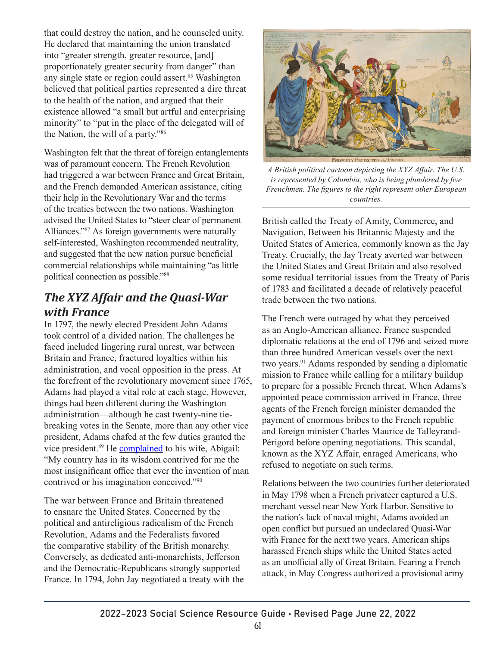that could destroy the nation, and he counseled unity. He declared that maintaining the union translated into "greater strength, greater resource, [and] proportionately greater security from danger" than any single state or region could assert.<sup>85</sup> Washington believed that political parties represented a dire threat to the health of the nation, and argued that their existence allowed "a small but artful and enterprising minority" to "put in the place of the delegated will of the Nation, the will of a party."86

Washington felt that the threat of foreign entanglements was of paramount concern. The French Revolution had triggered a war between France and Great Britain, and the French demanded American assistance, citing their help in the Revolutionary War and the terms of the treaties between the two nations. Washington advised the United States to "steer clear of permanent Alliances."87 As foreign governments were naturally self-interested, Washington recommended neutrality, and suggested that the new nation pursue beneficial commercial relationships while maintaining "as little political connection as possible."88

# *The XYZ Affair and the Quasi-War with France*

In 1797, the newly elected President John Adams took control of a divided nation. The challenges he faced included lingering rural unrest, war between Britain and France, fractured loyalties within his administration, and vocal opposition in the press. At the forefront of the revolutionary movement since 1765, Adams had played a vital role at each stage. However, things had been different during the Washington administration—although he cast twenty-nine tiebreaking votes in the Senate, more than any other vice president, Adams chafed at the few duties granted the vice president.<sup>89</sup> He **complained** to his wife, Abigail: "My country has in its wisdom contrived for me the most insignificant office that ever the invention of man contrived or his imagination conceived."90

The war between France and Britain threatened to ensnare the United States. Concerned by the political and antireligious radicalism of the French Revolution, Adams and the Federalists favored the comparative stability of the British monarchy. Conversely, as dedicated anti-monarchists, Jefferson and the Democratic-Republicans strongly supported France. In 1794, John Jay negotiated a treaty with the



*A British political cartoon depicting the XYZ Affair. The U.S. is represented by Columbia, who is being plundered by five Frenchmen. The figures to the right represent other European countries.*

British called the Treaty of Amity, Commerce, and Navigation, Between his Britannic Majesty and the United States of America, commonly known as the Jay Treaty. Crucially, the Jay Treaty averted war between the United States and Great Britain and also resolved some residual territorial issues from the Treaty of Paris of 1783 and facilitated a decade of relatively peaceful trade between the two nations.

The French were outraged by what they perceived as an Anglo-American alliance. France suspended diplomatic relations at the end of 1796 and seized more than three hundred American vessels over the next two years.<sup>91</sup> Adams responded by sending a diplomatic mission to France while calling for a military buildup to prepare for a possible French threat. When Adams's appointed peace commission arrived in France, three agents of the French foreign minister demanded the payment of enormous bribes to the French republic and foreign minister Charles Maurice de Talleyrand-Périgord before opening negotiations. This scandal, known as the XYZ Affair, enraged Americans, who refused to negotiate on such terms.

Relations between the two countries further deteriorated in May 1798 when a French privateer captured a U.S. merchant vessel near New York Harbor. Sensitive to the nation's lack of naval might, Adams avoided an open conflict but pursued an undeclared Quasi-War with France for the next two years. American ships harassed French ships while the United States acted as an unofficial ally of Great Britain. Fearing a French attack, in May Congress authorized a provisional army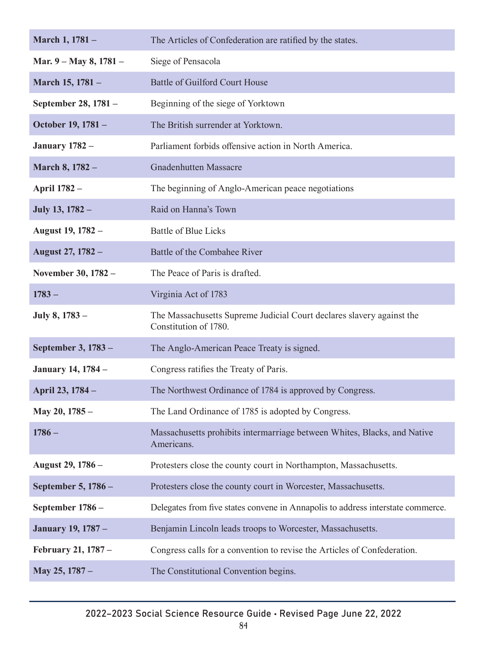| March 1, 1781 -           | The Articles of Confederation are ratified by the states.                                      |
|---------------------------|------------------------------------------------------------------------------------------------|
| Mar. 9 – May 8, 1781 –    | Siege of Pensacola                                                                             |
| March 15, 1781 -          | Battle of Guilford Court House                                                                 |
| September 28, 1781 -      | Beginning of the siege of Yorktown                                                             |
| October 19, 1781 -        | The British surrender at Yorktown.                                                             |
| <b>January 1782 –</b>     | Parliament forbids offensive action in North America.                                          |
| March 8, 1782 -           | <b>Gnadenhutten Massacre</b>                                                                   |
| <b>April 1782 -</b>       | The beginning of Anglo-American peace negotiations                                             |
| July 13, 1782 -           | Raid on Hanna's Town                                                                           |
| August 19, 1782 -         | <b>Battle of Blue Licks</b>                                                                    |
| August 27, 1782 -         | Battle of the Combahee River                                                                   |
| November 30, 1782 -       | The Peace of Paris is drafted.                                                                 |
| $1783 -$                  | Virginia Act of 1783                                                                           |
|                           |                                                                                                |
| July 8, 1783 –            | The Massachusetts Supreme Judicial Court declares slavery against the<br>Constitution of 1780. |
| September 3, 1783 -       | The Anglo-American Peace Treaty is signed.                                                     |
| <b>January 14, 1784 –</b> | Congress ratifies the Treaty of Paris.                                                         |
| April 23, 1784 -          | The Northwest Ordinance of 1784 is approved by Congress.                                       |
| May 20, 1785 -            | The Land Ordinance of 1785 is adopted by Congress.                                             |
| $1786 -$                  | Massachusetts prohibits intermarriage between Whites, Blacks, and Native<br>Americans.         |
| August 29, 1786 -         | Protesters close the county court in Northampton, Massachusetts.                               |
| September 5, 1786 -       | Protesters close the county court in Worcester, Massachusetts.                                 |
| September 1786 -          | Delegates from five states convene in Annapolis to address interstate commerce.                |
| <b>January 19, 1787 –</b> | Benjamin Lincoln leads troops to Worcester, Massachusetts.                                     |
| February 21, 1787 -       | Congress calls for a convention to revise the Articles of Confederation.                       |